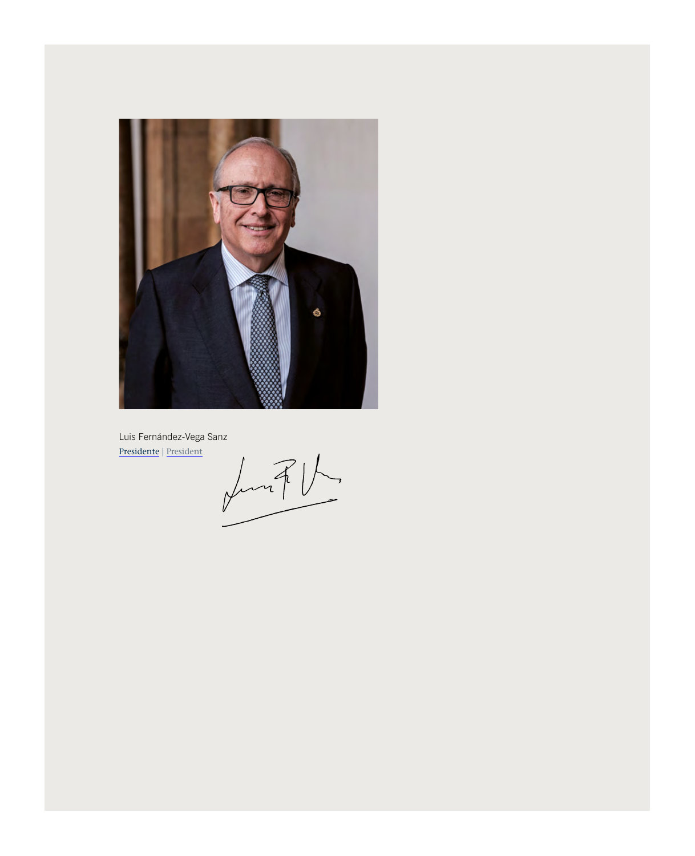

Presidente | President

Luis Fernández-Vega Sanz